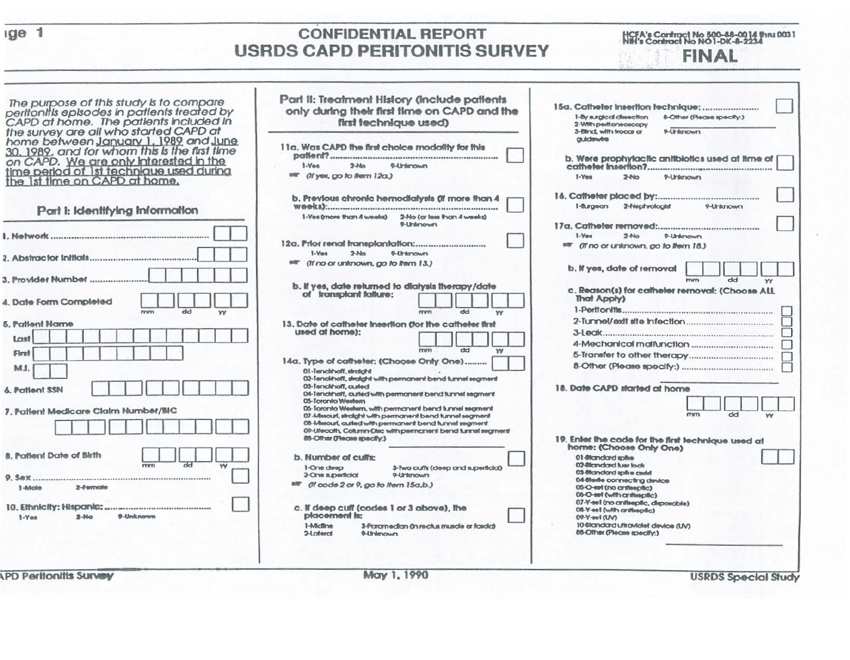|  |  |  | eri |
|--|--|--|-----|
|  |  |  |     |

## **CONFIDENTIAL REPORT USRDS CAPD PERITONITIS SURVEY**

HCFA's Contract No 500-88-0014 thru 0031<br>NtH's Contract No NO1-DK-8-2234 **FINAL** 

| The purpose of this study is to compare<br>peritonitis episodes in patients treated by<br>CAPD at home. The patients included in<br>the survey are all who started CAPD at                                    | Part II: Treatment History (include patients<br>only during their first time on CAPD and the<br>first technique used)                                                                                                      | 15a. Catheter Insertion fechnique:<br>1-By surgleaf dissection<br>8-Other (Please speaky.)<br>2-With peritoneoacopy<br>9-Unlanown<br>3-Blind, with trocar or |
|---------------------------------------------------------------------------------------------------------------------------------------------------------------------------------------------------------------|----------------------------------------------------------------------------------------------------------------------------------------------------------------------------------------------------------------------------|--------------------------------------------------------------------------------------------------------------------------------------------------------------|
| home between January 1, 1989 and June<br>30, 1989, and for whom this is the first time<br>on CAPD. We are only interested in the<br>time period of 1st technique used during<br>the 1st time on CAPD at home. | 11a. Was CAPD the first choice modality for this<br>$2-Mo$<br>$1-Y0$<br><b>P-Unternown</b><br><sup>till</sup> (If yes, go to litern 12a.)                                                                                  | autobewere<br>b. Were prophylactic antibiotics used at time of (<br>$1-Y00$<br>$2-110$<br>9-Untersown                                                        |
| Part I: Identifying Information                                                                                                                                                                               | b. Previous chronic hernodialysis (if more than 4<br>1-Yes (more than 4 weeks)<br>2-No (or less than 4 weeks)                                                                                                              | 2-Nephrologist<br>$1 -$ argeon<br>9-Unlahown                                                                                                                 |
|                                                                                                                                                                                                               | 9-Unlimown                                                                                                                                                                                                                 | $1-Y01$<br>$2 - No$<br>0-Unlenown<br>star (if no or unlinown, go to litern 18.)                                                                              |
| 2. Abstractor Initials<br>3. Provider Number                                                                                                                                                                  | $1-Y00$<br>$2-Mo$<br>9-Unimown<br>(If no or unknown, go to Item 13.)                                                                                                                                                       | b. If yes, date of removal<br>dd<br><b>PENTY</b>                                                                                                             |
| 4. Date Form Completed<br>dd<br>w                                                                                                                                                                             | b. If yes, date returned to dialysis therapy/date<br>of transplant failure:<br>dd<br>mm<br>w                                                                                                                               | c. Reason(s) for catheler removal: (Choose ALL<br>That Apply)                                                                                                |
| <b>6. Patient Name</b><br>Lost                                                                                                                                                                                | 13. Date of catheler insertion (for the catheler first<br>used at home):<br>dd<br>mm<br>W                                                                                                                                  |                                                                                                                                                              |
| First<br>M.I.                                                                                                                                                                                                 | 14a. Type of catheter: (Choose Only One)<br>01-Tenchhoff, straight<br>02-Tenckhoff, skalght with permanent bend tunnel segment                                                                                             |                                                                                                                                                              |
| 6. Patlent SSN<br>7. Patlent Medicare Cialm Number/BIC                                                                                                                                                        | 03-Tenchhoff, custed<br>04-Tenckhaff, curled with permanent bend tunnel segment<br>05-Toronto Western<br>05-Toronto Western, with permanent bend tunnel segment<br>07-Mesouri, straight with permanent bend tunnel segment | 18. Date CAPD started at home<br>dd<br><b>CTYCTY</b><br>YY                                                                                                   |
|                                                                                                                                                                                                               | 08-Mercuri, curled with permanent bend funnel regment<br>09-Ufecalh, Column-Disc with permanent bend lunnel segment<br>88-Offver (Please speakly:)                                                                         | 19. Enter the code for the first technique used at<br>home: (Choose Only One)                                                                                |
| 8. Pattent Date of Birth<br>ਲਰ<br>mm                                                                                                                                                                          | b. Number of cults:<br>1-One deep<br>3-live cuffs (deep and superfidal)<br>2-One superficial<br>9-Untenown                                                                                                                 | 01-Mandard spike<br>02-Blandard luer lock<br>03-81cm clard spike andet                                                                                       |
| 1-Mole<br>2-Fernale                                                                                                                                                                                           | star (if code 2 or 9, go to them 15a,b.)                                                                                                                                                                                   | 04-titerile connecting device<br>(differenting on) fee-O-80<br>06-O-set (with antisspäc)<br>07-Y-set (no antiseptic, disposable)                             |
| 9-Unknown<br>$2-16$<br>$1-Y$ es                                                                                                                                                                               | c. If deep cuff (codes 1 or 3 above), the<br>placement la:<br>1-Micfime<br>3-Paramedian (in reclus muscle or fascia)<br>2-Lateral<br><b>Pulmerown</b>                                                                      | 08-Y-ea1 (with antiseptic)<br>(VV) fee-Y-90<br>10-Standard uttraviolet device (UV)<br>88-Other (Please speaky.)                                              |
| <b>PD Peritonitis Survey</b>                                                                                                                                                                                  | May 1, 1990                                                                                                                                                                                                                | <b>USRDS Special Study</b>                                                                                                                                   |

**USRDS Special Study**